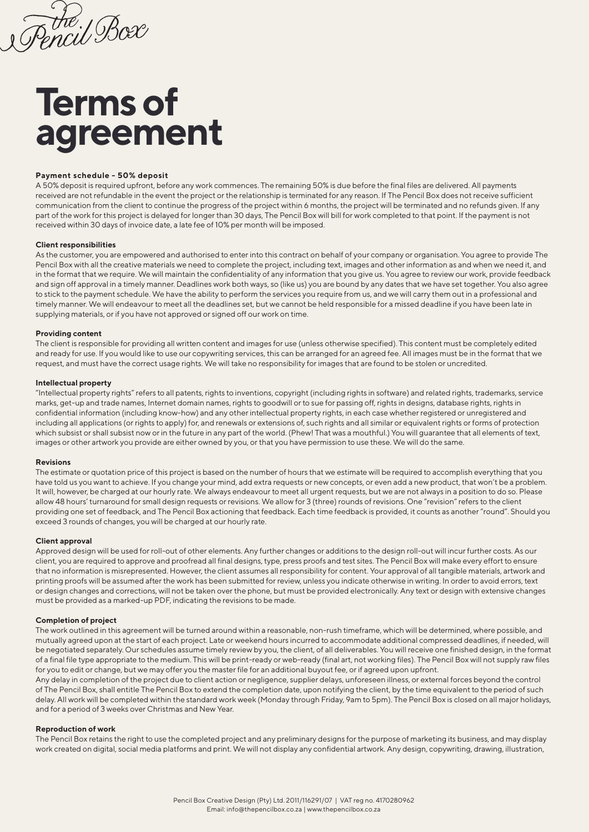Encil Box

# **Terms of agreement**

# **Payment schedule - 50% deposit**

A 50% deposit is required upfront, before any work commences. The remaining 50% is due before the final files are delivered. All payments received are not refundable in the event the project or the relationship is terminated for any reason. If The Pencil Box does not receive sufficient communication from the client to continue the progress of the project within 6 months, the project will be terminated and no refunds given. If any part of the work for this project is delayed for longer than 30 days, The Pencil Box will bill for work completed to that point. If the payment is not received within 30 days of invoice date, a late fee of 10% per month will be imposed.

## **Client responsibilities**

As the customer, you are empowered and authorised to enter into this contract on behalf of your company or organisation. You agree to provide The Pencil Box with all the creative materials we need to complete the project, including text, images and other information as and when we need it, and in the format that we require. We will maintain the confidentiality of any information that you give us. You agree to review our work, provide feedback and sign off approval in a timely manner. Deadlines work both ways, so (like us) you are bound by any dates that we have set together. You also agree to stick to the payment schedule. We have the ability to perform the services you require from us, and we will carry them out in a professional and timely manner. We will endeavour to meet all the deadlines set, but we cannot be held responsible for a missed deadline if you have been late in supplying materials, or if you have not approved or signed off our work on time.

# **Providing content**

The client is responsible for providing all written content and images for use (unless otherwise specified). This content must be completely edited and ready for use. If you would like to use our copywriting services, this can be arranged for an agreed fee. All images must be in the format that we request, and must have the correct usage rights. We will take no responsibility for images that are found to be stolen or uncredited.

## **Intellectual property**

"Intellectual property rights" refers to all patents, rights to inventions, copyright (including rights in software) and related rights, trademarks, service marks, get-up and trade names, Internet domain names, rights to goodwill or to sue for passing off, rights in designs, database rights, rights in confidential information (including know-how) and any other intellectual property rights, in each case whether registered or unregistered and including all applications (or rights to apply) for, and renewals or extensions of, such rights and all similar or equivalent rights or forms of protection which subsist or shall subsist now or in the future in any part of the world. (Phew! That was a mouthful.) You will guarantee that all elements of text, images or other artwork you provide are either owned by you, or that you have permission to use these. We will do the same.

# **Revisions**

The estimate or quotation price of this project is based on the number of hours that we estimate will be required to accomplish everything that you have told us you want to achieve. If you change your mind, add extra requests or new concepts, or even add a new product, that won't be a problem. It will, however, be charged at our hourly rate. We always endeavour to meet all urgent requests, but we are not always in a position to do so. Please allow 48 hours' turnaround for small design requests or revisions. We allow for 3 (three) rounds of revisions. One "revision" refers to the client providing one set of feedback, and The Pencil Box actioning that feedback. Each time feedback is provided, it counts as another "round". Should you exceed 3 rounds of changes, you will be charged at our hourly rate.

# **Client approval**

Approved design will be used for roll-out of other elements. Any further changes or additions to the design roll-out will incur further costs. As our client, you are required to approve and proofread all final designs, type, press proofs and test sites. The Pencil Box will make every effort to ensure that no information is misrepresented. However, the client assumes all responsibility for content. Your approval of all tangible materials, artwork and printing proofs will be assumed after the work has been submitted for review, unless you indicate otherwise in writing. In order to avoid errors, text or design changes and corrections, will not be taken over the phone, but must be provided electronically. Any text or design with extensive changes must be provided as a marked-up PDF, indicating the revisions to be made.

# **Completion of project**

The work outlined in this agreement will be turned around within a reasonable, non-rush timeframe, which will be determined, where possible, and mutually agreed upon at the start of each project. Late or weekend hours incurred to accommodate additional compressed deadlines, if needed, will be negotiated separately. Our schedules assume timely review by you, the client, of all deliverables. You will receive one finished design, in the format of a final file type appropriate to the medium. This will be print-ready or web-ready (final art, not working files). The Pencil Box will not supply raw files for you to edit or change, but we may offer you the master file for an additional buyout fee, or if agreed upon upfront.

Any delay in completion of the project due to client action or negligence, supplier delays, unforeseen illness, or external forces beyond the control of The Pencil Box, shall entitle The Pencil Box to extend the completion date, upon notifying the client, by the time equivalent to the period of such delay. All work will be completed within the standard work week (Monday through Friday, 9am to 5pm). The Pencil Box is closed on all major holidays, and for a period of 3 weeks over Christmas and New Year.

# **Reproduction of work**

The Pencil Box retains the right to use the completed project and any preliminary designs for the purpose of marketing its business, and may display work created on digital, social media platforms and print. We will not display any confidential artwork. Any design, copywriting, drawing, illustration,